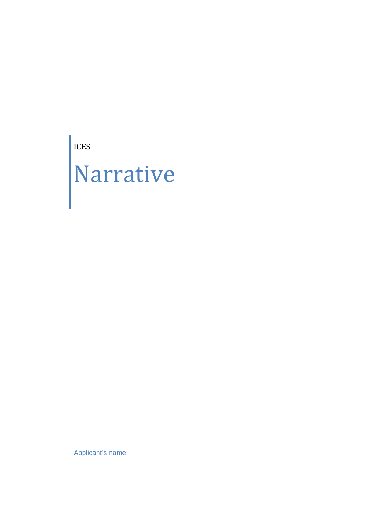ICES Narrative

Applicant's name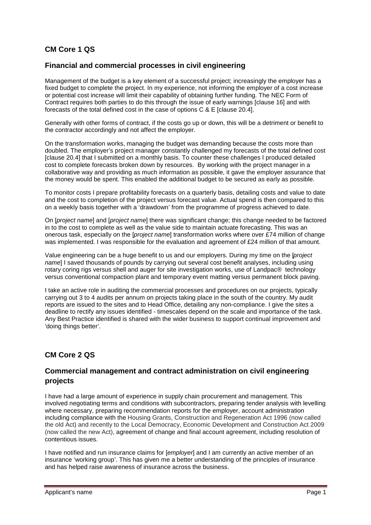# **CM Core 1 QS**

### **Financial and commercial processes in civil engineering**

Management of the budget is a key element of a successful project; increasingly the employer has a fixed budget to complete the project. In my experience, not informing the employer of a cost increase or potential cost increase will limit their capability of obtaining further funding. The NEC Form of Contract requires both parties to do this through the issue of early warnings [clause 16] and with forecasts of the total defined cost in the case of options C & E [clause 20.4].

Generally with other forms of contract, if the costs go up or down, this will be a detriment or benefit to the contractor accordingly and not affect the employer.

On the transformation works, managing the budget was demanding because the costs more than doubled. The employer's project manager constantly challenged my forecasts of the total defined cost [clause 20.4] that I submitted on a monthly basis. To counter these challenges I produced detailed cost to complete forecasts broken down by resources. By working with the project manager in a collaborative way and providing as much information as possible, it gave the employer assurance that the money would be spent. This enabled the additional budget to be secured as early as possible.

To monitor costs I prepare profitability forecasts on a quarterly basis, detailing costs and value to date and the cost to completion of the project versus forecast value. Actual spend is then compared to this on a weekly basis together with a 'drawdown' from the programme of progress achieved to date.

On [*project name*] and [*project name*] there was significant change; this change needed to be factored in to the cost to complete as well as the value side to maintain actuate forecasting. This was an onerous task, especially on the [*project name*] transformation works where over £74 million of change was implemented. I was responsible for the evaluation and agreement of £24 million of that amount.

Value engineering can be a huge benefit to us and our employers. During my time on the [*project name*] I saved thousands of pounds by carrying out several cost benefit analyses, including using rotary coring rigs versus shell and auger for site investigation works, use of Landpac® technology versus conventional compaction plant and temporary event matting versus permanent block paving.

I take an active role in auditing the commercial processes and procedures on our projects, typically carrying out 3 to 4 audits per annum on projects taking place in the south of the country. My audit reports are issued to the sites and to Head Office, detailing any non-compliance. I give the sites a deadline to rectify any issues identified - timescales depend on the scale and importance of the task. Any Best Practice identified is shared with the wider business to support continual improvement and 'doing things better'.

## **CM Core 2 QS**

### **Commercial management and contract administration on civil engineering projects**

I have had a large amount of experience in supply chain procurement and management. This involved negotiating terms and conditions with subcontractors, preparing tender analysis with levelling where necessary, preparing recommendation reports for the employer, account administration including compliance with the Housing Grants, Construction and Regeneration Act 1996 (now called the old Act) and recently to the Local Democracy, Economic Development and Construction Act 2009 (now called the new Act), agreement of change and final account agreement, including resolution of contentious issues.

I have notified and run insurance claims for [*employer*] and I am currently an active member of an insurance 'working group'. This has given me a better understanding of the principles of insurance and has helped raise awareness of insurance across the business.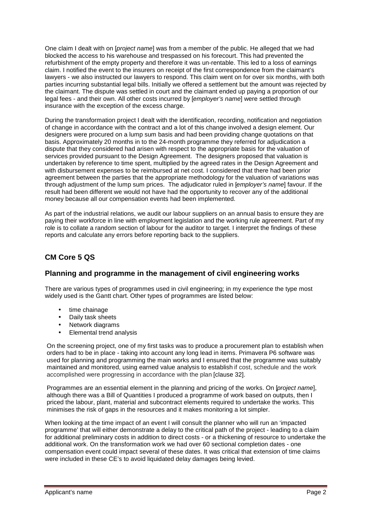One claim I dealt with on [*project name*] was from a member of the public. He alleged that we had blocked the access to his warehouse and trespassed on his forecourt. This had prevented the refurbishment of the empty property and therefore it was un-rentable. This led to a loss of earnings claim. I notified the event to the insurers on receipt of the first correspondence from the claimant's lawyers - we also instructed our lawyers to respond. This claim went on for over six months, with both parties incurring substantial legal bills. Initially we offered a settlement but the amount was rejected by the claimant. The dispute was settled in court and the claimant ended up paying a proportion of our legal fees - and their own. All other costs incurred by [*employer's name*] were settled through insurance with the exception of the excess charge.

During the transformation project I dealt with the identification, recording, notification and negotiation of change in accordance with the contract and a lot of this change involved a design element. Our designers were procured on a lump sum basis and had been providing change quotations on that basis. Approximately 20 months in to the 24-month programme they referred for adjudication a dispute that they considered had arisen with respect to the appropriate basis for the valuation of services provided pursuant to the Design Agreement. The designers proposed that valuation is undertaken by reference to time spent, multiplied by the agreed rates in the Design Agreement and with disbursement expenses to be reimbursed at net cost. I considered that there had been prior agreement between the parties that the appropriate methodology for the valuation of variations was through adjustment of the lump sum prices. The adjudicator ruled in [*employer's name*] favour. If the result had been different we would not have had the opportunity to recover any of the additional money because all our compensation events had been implemented.

As part of the industrial relations, we audit our labour suppliers on an annual basis to ensure they are paying their workforce in line with employment legislation and the working rule agreement. Part of my role is to collate a random section of labour for the auditor to target. I interpret the findings of these reports and calculate any errors before reporting back to the suppliers.

## **CM Core 5 QS**

### **Planning and programme in the management of civil engineering works**

There are various types of programmes used in civil engineering; in my experience the type most widely used is the Gantt chart. Other types of programmes are listed below:

- time chainage
- Daily task sheets
- Network diagrams
- Elemental trend analysis

On the screening project, one of my first tasks was to produce a procurement plan to establish when orders had to be in place - taking into account any long lead in items. Primavera P6 software was used for planning and programming the main works and I ensured that the programme was suitably maintained and monitored, using earned value analysis to establish if cost, schedule and the work accomplished were progressing in accordance with the plan [clause 32].

Programmes are an essential element in the planning and pricing of the works. On [*project name*], although there was a Bill of Quantities I produced a programme of work based on outputs, then I priced the labour, plant, material and subcontract elements required to undertake the works. This minimises the risk of gaps in the resources and it makes monitoring a lot simpler.

When looking at the time impact of an event I will consult the planner who will run an 'impacted programme' that will either demonstrate a delay to the critical path of the project - leading to a claim for additional preliminary costs in addition to direct costs - or a thickening of resource to undertake the additional work. On the transformation work we had over 60 sectional completion dates - one compensation event could impact several of these dates. It was critical that extension of time claims were included in these CE's to avoid liquidated delay damages being levied.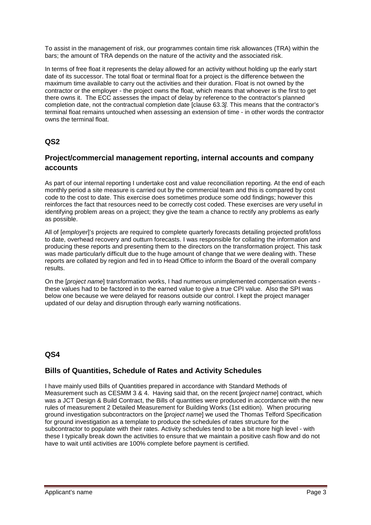To assist in the management of risk, our programmes contain time risk allowances (TRA) within the bars; the amount of TRA depends on the nature of the activity and the associated risk.

In terms of free float it represents the delay allowed for an activity without holding up the early start date of its successor. The total float or terminal float for a project is the difference between the maximum time available to carry out the activities and their duration. Float is not owned by the contractor or the employer - the project owns the float, which means that whoever is the first to get there owns it. The ECC assesses the impact of delay by reference to the contractor's planned completion date, not the contractual completion date [clause 63.3*].* This means that the contractor's terminal float remains untouched when assessing an extension of time - in other words the contractor owns the terminal float.

## **QS2**

## **Project/commercial management reporting, internal accounts and company accounts**

As part of our internal reporting I undertake cost and value reconciliation reporting. At the end of each monthly period a site measure is carried out by the commercial team and this is compared by cost code to the cost to date. This exercise does sometimes produce some odd findings; however this reinforces the fact that resources need to be correctly cost coded. These exercises are very useful in identifying problem areas on a project; they give the team a chance to rectify any problems as early as possible.

All of [*employer*]'s projects are required to complete quarterly forecasts detailing projected profit/loss to date, overhead recovery and outturn forecasts. I was responsible for collating the information and producing these reports and presenting them to the directors on the transformation project. This task was made particularly difficult due to the huge amount of change that we were dealing with. These reports are collated by region and fed in to Head Office to inform the Board of the overall company results.

On the [*project name*] transformation works, I had numerous unimplemented compensation events these values had to be factored in to the earned value to give a true CPI value. Also the SPI was below one because we were delayed for reasons outside our control. I kept the project manager updated of our delay and disruption through early warning notifications.

## **QS4**

### **Bills of Quantities, Schedule of Rates and Activity Schedules**

I have mainly used Bills of Quantities prepared in accordance with Standard Methods of Measurement such as CESMM 3 & 4. Having said that, on the recent [*project name*] contract, which was a JCT Design & Build Contract, the Bills of quantities were produced in accordance with the new rules of measurement 2 Detailed Measurement for Building Works (1st edition). When procuring ground investigation subcontractors on the [*project name*] we used the Thomas Telford Specification for ground investigation as a template to produce the schedules of rates structure for the subcontractor to populate with their rates. Activity schedules tend to be a bit more high level - with these I typically break down the activities to ensure that we maintain a positive cash flow and do not have to wait until activities are 100% complete before payment is certified.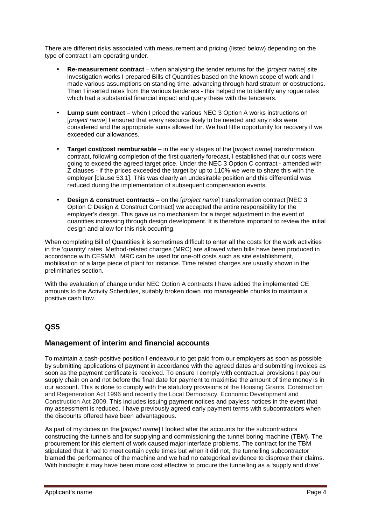There are different risks associated with measurement and pricing (listed below) depending on the type of contract I am operating under.

- **Re-measurement contract** when analysing the tender returns for the [*project name*] site investigation works I prepared Bills of Quantities based on the known scope of work and I made various assumptions on standing time, advancing through hard stratum or obstructions. Then I inserted rates from the various tenderers - this helped me to identify any rogue rates which had a substantial financial impact and query these with the tenderers.
- **Lump sum contract** when I priced the various NEC 3 Option A works instructions on [*project name*] I ensured that every resource likely to be needed and any risks were considered and the appropriate sums allowed for. We had little opportunity for recovery if we exceeded our allowances.
- **Target cost/cost reimbursable** in the early stages of the [*project name*] transformation contract, following completion of the first quarterly forecast, I established that our costs were going to exceed the agreed target price. Under the NEC 3 Option C contract - amended with Z clauses - if the prices exceeded the target by up to 110% we were to share this with the employer [clause 53.1]. This was clearly an undesirable position and this differential was reduced during the implementation of subsequent compensation events.
- **Design & construct contracts** on the [*project name*] transformation contract [NEC 3 Option C Design & Construct Contract] we accepted the entire responsibility for the employer's design. This gave us no mechanism for a target adjustment in the event of quantities increasing through design development. It is therefore important to review the initial design and allow for this risk occurring.

When completing Bill of Quantities it is sometimes difficult to enter all the costs for the work activities in the 'quantity' rates. Method-related charges (MRC) are allowed when bills have been produced in accordance with CESMM. MRC can be used for one-off costs such as site establishment, mobilisation of a large piece of plant for instance. Time related charges are usually shown in the preliminaries section.

With the evaluation of change under NEC Option A contracts I have added the implemented CE amounts to the Activity Schedules, suitably broken down into manageable chunks to maintain a positive cash flow.

## **QS5**

### **Management of interim and financial accounts**

To maintain a cash-positive position I endeavour to get paid from our employers as soon as possible by submitting applications of payment in accordance with the agreed dates and submitting invoices as soon as the payment certificate is received. To ensure I comply with contractual provisions I pay our supply chain on and not before the final date for payment to maximise the amount of time money is in our account. This is done to comply with the statutory provisions of the Housing Grants, Construction and Regeneration Act 1996 and recently the Local Democracy, Economic Development and Construction Act 2009. This includes issuing payment notices and payless notices in the event that my assessment is reduced. I have previously agreed early payment terms with subcontractors when the discounts offered have been advantageous.

As part of my duties on the [*project name*] I looked after the accounts for the subcontractors constructing the tunnels and for supplying and commissioning the tunnel boring machine (TBM). The procurement for this element of work caused major interface problems. The contract for the TBM stipulated that it had to meet certain cycle times but when it did not, the tunnelling subcontractor blamed the performance of the machine and we had no categorical evidence to disprove their claims. With hindsight it may have been more cost effective to procure the tunnelling as a 'supply and drive'